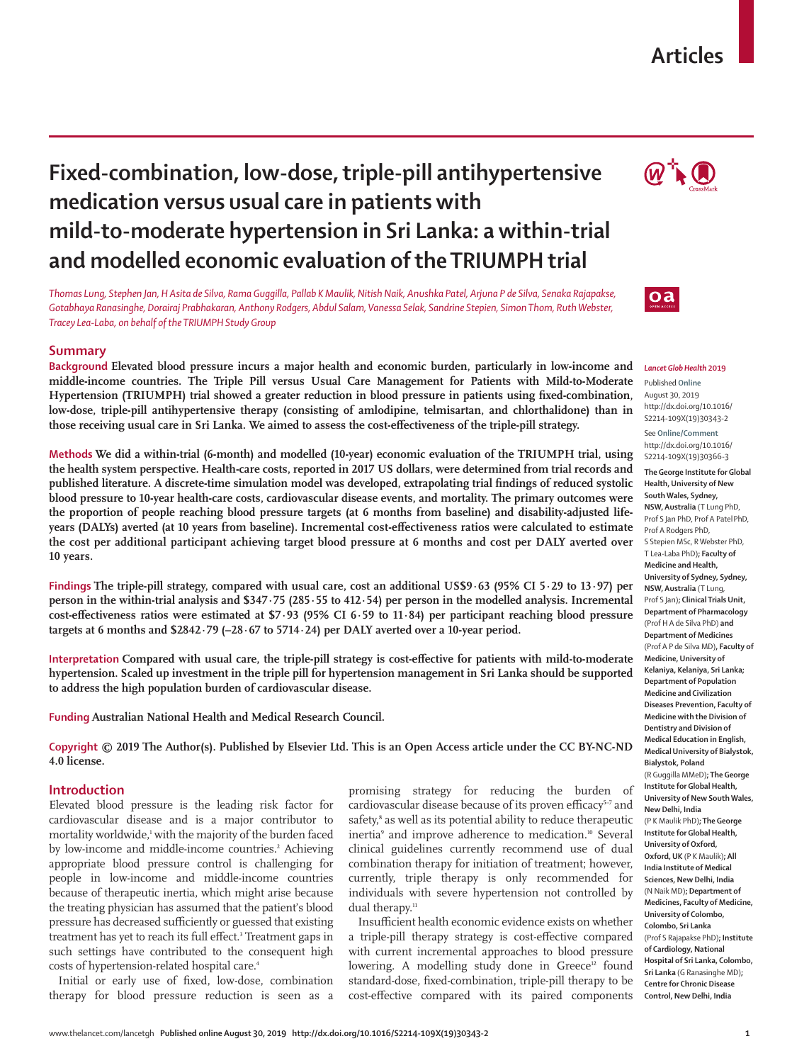# **Articles**

# **Fixed-combination, low-dose, triple-pill antihypertensive medication versus usual care in patients with mild-to-moderate hypertension in Sri Lanka: a within-trial and modelled economic evaluation of the TRIUMPH trial**

*Thomas Lung, Stephen Jan, H Asita de Silva, Rama Guggilla, Pallab K Maulik, Nitish Naik, Anushka Patel, Arjuna P de Silva, Senaka Rajapakse, Gotabhaya Ranasinghe, Dorairaj Prabhakaran, Anthony Rodgers, Abdul Salam, Vanessa Selak, Sandrine Stepien, Simon Thom, Ruth Webster, Tracey Lea-Laba, on behalf of the TRIUMPH Study Group*

## **Summary**

**Background Elevated blood pressure incurs a major health and economic burden, particularly in low-income and middle-income countries. The Triple Pill versus Usual Care Management for Patients with Mild-to-Moderate Hypertension (TRIUMPH) trial showed a greater reduction in blood pressure in patients using fixed-combination, low-dose, triple-pill antihypertensive therapy (consisting of amlodipine, telmisartan, and chlorthalidone) than in those receiving usual care in Sri Lanka. We aimed to assess the cost-effectiveness of the triple-pill strategy.**

**Methods We did a within-trial (6-month) and modelled (10-year) economic evaluation of the TRIUMPH trial, using the health system perspective. Health-care costs, reported in 2017 US dollars, were determined from trial records and published literature. A discrete-time simulation model was developed, extrapolating trial findings of reduced systolic blood pressure to 10-year health-care costs, cardiovascular disease events, and mortality. The primary outcomes were the proportion of people reaching blood pressure targets (at 6 months from baseline) and disability-adjusted lifeyears (DALYs) averted (at 10 years from baseline). Incremental cost-effectiveness ratios were calculated to estimate the cost per additional participant achieving target blood pressure at 6 months and cost per DALY averted over 10 years.**

**Findings The triple-pill strategy, compared with usual care, cost an additional US\$9·63 (95% CI 5·29 to 13·97) per person in the within-trial analysis and \$347·75 (285·55 to 412·54) per person in the modelled analysis. Incremental cost-effectiveness ratios were estimated at \$7·93 (95% CI 6·59 to 11·84) per participant reaching blood pressure targets at 6 months and \$2842·79 (–28·67 to 5714·24) per DALY averted over a 10-year period.**

**Interpretation Compared with usual care, the triple-pill strategy is cost-effective for patients with mild-to-moderate hypertension. Scaled up investment in the triple pill for hypertension management in Sri Lanka should be supported to address the high population burden of cardiovascular disease.**

**Funding Australian National Health and Medical Research Council.**

**Copyright © 2019 The Author(s). Published by Elsevier Ltd. This is an Open Access article under the CC BY-NC-ND 4.0 license.**

## **Introduction**

Elevated blood pressure is the leading risk factor for cardiovascular disease and is a major contributor to mortality worldwide,<sup>1</sup> with the majority of the burden faced by low-income and middle-income countries.<sup>2</sup> Achieving appropriate blood pressure control is challenging for people in low-income and middle-income countries because of therapeutic inertia, which might arise because the treating physician has assumed that the patient's blood pressure has decreased sufficiently or guessed that existing treatment has yet to reach its full effect.<sup>3</sup> Treatment gaps in such settings have contributed to the consequent high costs of hypertension-related hospital care.<sup>4</sup>

Initial or early use of fixed, low-dose, combination therapy for blood pressure reduction is seen as a promising strategy for reducing the burden of cardiovascular disease because of its proven efficacy<sup>5-7</sup> and safety,<sup>8</sup> as well as its potential ability to reduce therapeutic inertia<sup>9</sup> and improve adherence to medication.<sup>10</sup> Several clinical guidelines currently recommend use of dual combination therapy for initiation of treatment; however, currently, triple therapy is only recommended for individuals with severe hypertension not controlled by dual therapy.<sup>11</sup>

Insufficient health economic evidence exists on whether a triple-pill therapy strategy is cost-effective compared with current incremental approaches to blood pressure lowering. A modelling study done in Greece<sup>12</sup> found standard-dose, fixed-combination, triple-pill therapy to be cost-effective compared with its paired components





#### *Lancet Glob Health* **2019**

Published **Online** August 30, 2019 http://dx.doi.org/10.1016/ S2214-109X(19)30343-2

See **Online/Comment** http://dx.doi.org/10.1016/ S2214-109X(19)30366-3

**The George Institute for Global Health, University of New South Wales, Sydney, NSW, Australia** (T Lung PhD, Prof S Jan PhD, Prof A PatelPhD, Prof A Rodgers PhD, S Stepien MSc, R Webster PhD, T Lea-Laba PhD)**; Faculty of Medicine and Health, University of Sydney, Sydney, NSW, Australia** (T Lung, Prof S Jan)**; Clinical Trials Unit, Department of Pharmacology**  (Prof H A de Silva PhD) **and Department of Medicines** (Prof A P de Silva MD)**, Faculty of Medicine, University of Kelaniya, Kelaniya, Sri Lanka; Department of Population Medicine and Civilization Diseases Prevention, Faculty of Medicine with the Division of Dentistry and Division of Medical Education in English, Medical University of Bialystok, Bialystok, Poland**  (R Guggilla MMeD)**; The George Institute for Global Health, University of New South Wales, New Delhi, India**  (P K Maulik PhD)**; The George Institute for Global Health, University of Oxford, Oxford, UK** (P K Maulik)**; All India Institute of Medical Sciences, New Delhi, India**  (N Naik MD)**; Department of Medicines, Faculty of Medicine, University of Colombo, Colombo, Sri Lanka**  (Prof S Rajapakse PhD)**; Institute of Cardiology, National Hospital of Sri Lanka, Colombo, Sri Lanka** (G Ranasinghe MD)**; Centre for Chronic Disease Control, New Delhi, India**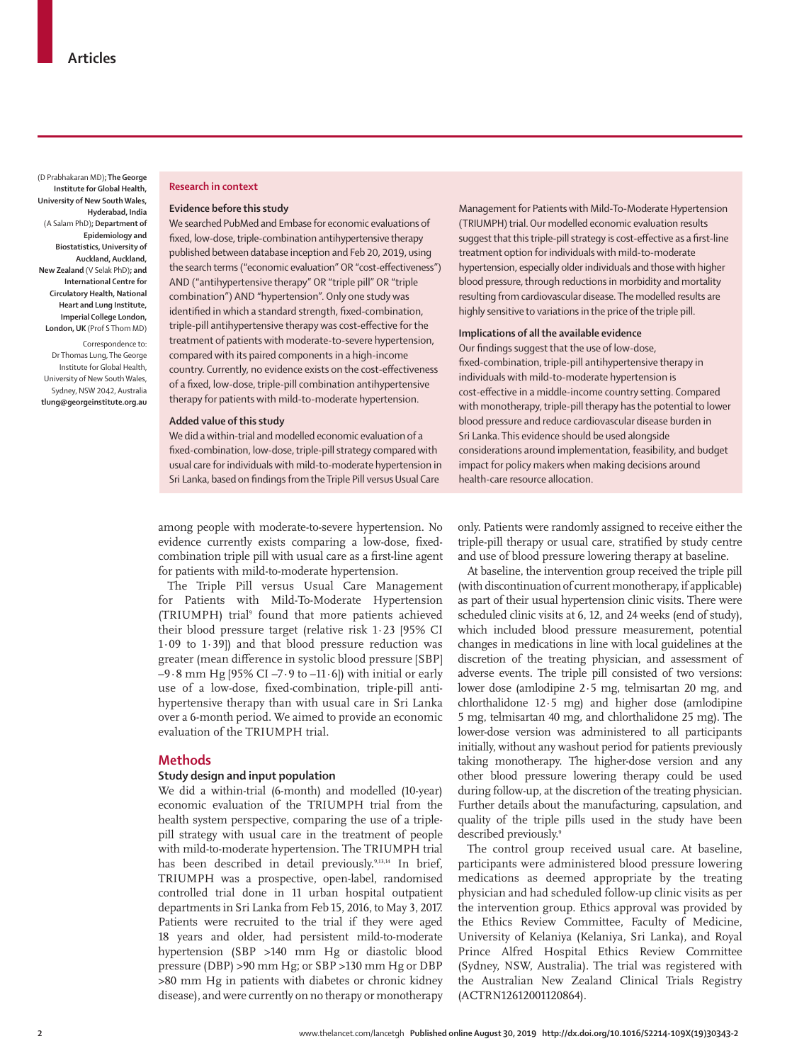(D Prabhakaran MD)**; The George Institute for Global Health, University of New South Wales, Hyderabad, India**  (A Salam PhD)**; Department of Epidemiology and Biostatistics, University of Auckland, Auckland, New Zealand** (V Selak PhD)**; and International Centre for Circulatory Health, National Heart and Lung Institute, Imperial College London, London, UK** (Prof S Thom MD)

Correspondence to: Dr Thomas Lung, The George Institute for Global Health, University of New South Wales, Sydney, NSW 2042, Australia **tlung@georgeinstitute.org.au**

## **Research in context**

## **Evidence before this study**

We searched PubMed and Embase for economic evaluations of fixed, low-dose, triple-combination antihypertensive therapy published between database inception and Feb 20, 2019, using the search terms ("economic evaluation" OR "cost-effectiveness") AND ("antihypertensive therapy" OR "triple pill" OR "triple combination") AND "hypertension". Only one study was identified in which a standard strength, fixed-combination, triple-pill antihypertensive therapy was cost-effective for the treatment of patients with moderate-to-severe hypertension, compared with its paired components in a high-income country. Currently, no evidence exists on the cost-effectiveness of a fixed, low-dose, triple-pill combination antihypertensive therapy for patients with mild-to-moderate hypertension.

## **Added value of this study**

We did a within-trial and modelled economic evaluation of a fixed-combination, low-dose, triple-pill strategy compared with usual care for individuals with mild-to-moderate hypertension in Sri Lanka, based on findings from the Triple Pill versus Usual Care

Management for Patients with Mild-To-Moderate Hypertension (TRIUMPH) trial. Our modelled economic evaluation results suggest that this triple-pill strategy is cost-effective as a first-line treatment option for individuals with mild-to-moderate hypertension, especially older individuals and those with higher blood pressure, through reductions in morbidity and mortality resulting from cardiovascular disease. The modelled results are highly sensitive to variations in the price of the triple pill.

## **Implications of all the available evidence**

Our findings suggest that the use of low-dose, fixed-combination, triple-pill antihypertensive therapy in individuals with mild-to-moderate hypertension is cost-effective in a middle-income country setting. Compared with monotherapy, triple-pill therapy has the potential to lower blood pressure and reduce cardiovascular disease burden in Sri Lanka. This evidence should be used alongside considerations around implementation, feasibility, and budget impact for policy makers when making decisions around health-care resource allocation.

among people with moderate-to-severe hypertension. No evidence currently exists comparing a low-dose, fixedcombination triple pill with usual care as a first-line agent for patients with mild-to-moderate hypertension.

The Triple Pill versus Usual Care Management for Patients with Mild-To-Moderate Hypertension (TRIUMPH) trial<sup>9</sup> found that more patients achieved their blood pressure target (relative risk 1·23 [95% CI 1·09 to 1·39]) and that blood pressure reduction was greater (mean difference in systolic blood pressure [SBP]  $-9.8$  mm Hg [95% CI  $-7.9$  to  $-11.6$ ]) with initial or early use of a low-dose, fixed-combination, triple-pill antihypertensive therapy than with usual care in Sri Lanka over a 6-month period. We aimed to provide an economic evaluation of the TRIUMPH trial.

## **Methods**

## **Study design and input population**

We did a within-trial (6-month) and modelled (10-year) economic evaluation of the TRIUMPH trial from the health system perspective, comparing the use of a triplepill strategy with usual care in the treatment of people with mild-to-moderate hypertension. The TRIUMPH trial has been described in detail previously.<sup>9,13,14</sup> In brief, TRIUMPH was a prospective, open-label, randomised controlled trial done in 11 urban hospital outpatient departments in Sri Lanka from Feb 15, 2016, to May 3, 2017. Patients were recruited to the trial if they were aged 18 years and older, had persistent mild-to-moderate hypertension (SBP >140 mm Hg or diastolic blood pressure (DBP) >90 mm Hg; or SBP >130 mm Hg or DBP >80 mm Hg in patients with diabetes or chronic kidney disease), and were currently on no therapy or monotherapy only. Patients were randomly assigned to receive either the triple-pill therapy or usual care, stratified by study centre and use of blood pressure lowering therapy at baseline.

At baseline, the intervention group received the triple pill (with discontinuation of current monotherapy, if applicable) as part of their usual hypertension clinic visits. There were scheduled clinic visits at 6, 12, and 24 weeks (end of study), which included blood pressure measurement, potential changes in medications in line with local guidelines at the discretion of the treating physician, and assessment of adverse events. The triple pill consisted of two versions: lower dose (amlodipine 2·5 mg, telmisartan 20 mg, and chlorthalidone 12·5 mg) and higher dose (amlodipine 5 mg, telmisartan 40 mg, and chlorthalidone 25 mg). The lower-dose version was administered to all participants initially, without any washout period for patients previously taking monotherapy. The higher-dose version and any other blood pressure lowering therapy could be used during follow-up, at the discretion of the treating physician. Further details about the manufacturing, capsulation, and quality of the triple pills used in the study have been described previously.<sup>9</sup>

The control group received usual care. At baseline, participants were administered blood pressure lowering medications as deemed appropriate by the treating physician and had scheduled follow-up clinic visits as per the intervention group. Ethics approval was provided by the Ethics Review Committee, Faculty of Medicine, University of Kelaniya (Kelaniya, Sri Lanka), and Royal Prince Alfred Hospital Ethics Review Committee (Sydney, NSW, Australia). The trial was registered with the Australian New Zealand Clinical Trials Registry (ACTRN12612001120864).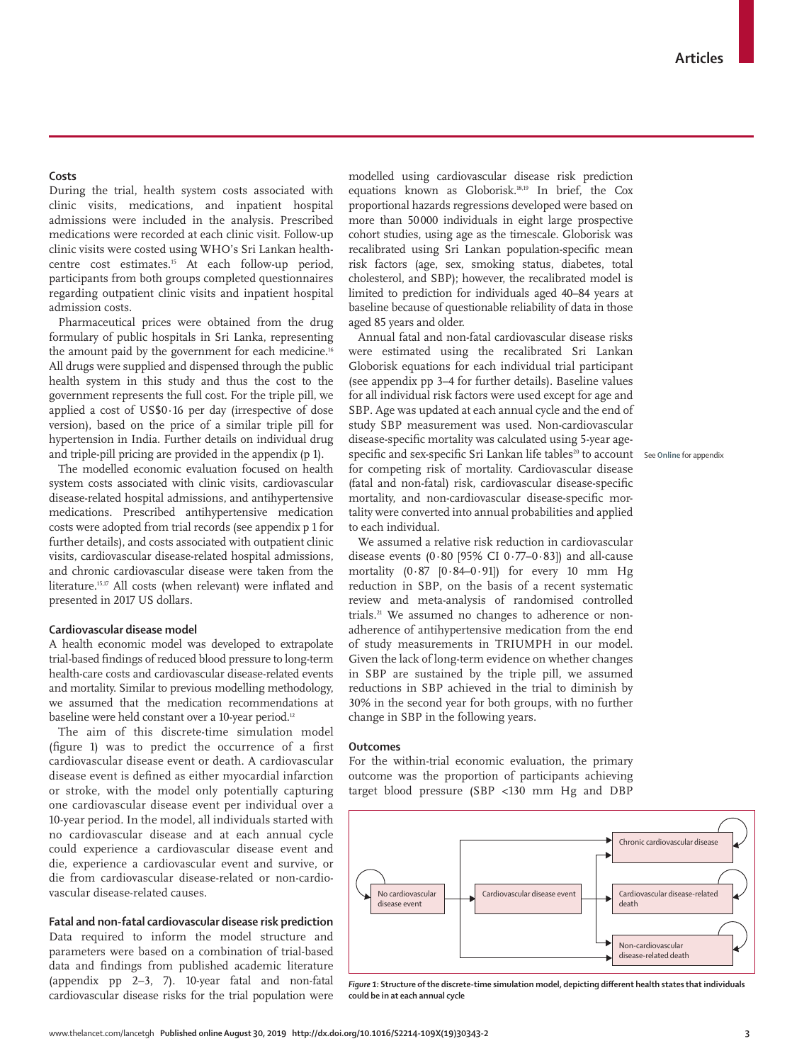## **Costs**

During the trial, health system costs associated with clinic visits, medications, and inpatient hospital admissions were included in the analysis. Prescribed medications were recorded at each clinic visit. Follow-up clinic visits were costed using WHO's Sri Lankan healthcentre cost estimates.15 At each follow-up period, participants from both groups completed questionnaires regarding outpatient clinic visits and inpatient hospital admission costs.

Pharmaceutical prices were obtained from the drug formulary of public hospitals in Sri Lanka, representing the amount paid by the government for each medicine.<sup>16</sup> All drugs were supplied and dispensed through the public health system in this study and thus the cost to the government represents the full cost. For the triple pill, we applied a cost of US\$0·16 per day (irrespective of dose version), based on the price of a similar triple pill for hypertension in India. Further details on individual drug and triple-pill pricing are provided in the appendix (p 1).

The modelled economic evaluation focused on health system costs associated with clinic visits, cardiovascular disease-related hospital admissions, and antihypertensive medications. Prescribed antihypertensive medication costs were adopted from trial records (see appendix p 1 for further details), and costs associated with outpatient clinic visits, cardiovascular disease-related hospital admissions, and chronic cardiovascular disease were taken from the literature.<sup>15,17</sup> All costs (when relevant) were inflated and presented in 2017 US dollars.

# **Cardiovascular disease model**

A health economic model was developed to extrapolate trial-based findings of reduced blood pressure to long-term health-care costs and cardiovascular disease-related events and mortality. Similar to previous modelling methodology, we assumed that the medication recommendations at baseline were held constant over a 10-year period.<sup>12</sup>

The aim of this discrete-time simulation model (figure 1) was to predict the occurrence of a first cardiovascular disease event or death. A cardiovascular disease event is defined as either myocardial infarction or stroke, with the model only potentially capturing one cardiovascular disease event per individual over a 10-year period. In the model, all individuals started with no cardiovascular disease and at each annual cycle could experience a cardiovascular disease event and die, experience a cardiovascular event and survive, or die from cardiovascular disease-related or non-cardiovascular disease-related causes.

## **Fatal and non-fatal cardiovascular disease risk prediction**

Data required to inform the model structure and parameters were based on a combination of trial-based data and findings from published academic literature (appendix pp 2–3, 7). 10-year fatal and non-fatal cardiovascular disease risks for the trial population were

modelled using cardiovascular disease risk prediction equations known as Globorisk.18,19 In brief, the Cox proportional hazards regressions developed were based on more than 50000 individuals in eight large prospective cohort studies, using age as the timescale. Globorisk was recalibrated using Sri Lankan population-specific mean risk factors (age, sex, smoking status, diabetes, total cholesterol, and SBP); however, the recalibrated model is limited to prediction for individuals aged 40–84 years at baseline because of questionable reliability of data in those aged 85 years and older.

Annual fatal and non-fatal cardiovascular disease risks were estimated using the recalibrated Sri Lankan Globorisk equations for each individual trial participant (see appendix pp 3–4 for further details). Baseline values for all individual risk factors were used except for age and SBP. Age was updated at each annual cycle and the end of study SBP measurement was used. Non-cardiovascular disease-specific mortality was calculated using 5-year agespecific and sex-specific Sri Lankan life tables<sup>20</sup> to account see Online for appendix for competing risk of mortality. Cardiovascular disease (fatal and non-fatal) risk, cardiovascular disease-specific mortality, and non-cardiovascular disease-specific mortality were converted into annual probabilities and applied to each individual.

We assumed a relative risk reduction in cardiovascular disease events (0.80 [95% CI  $0.77-0.83$ ]) and all-cause mortality  $(0.87 \t [0.84-0.91])$  for every 10 mm Hg reduction in SBP, on the basis of a recent systematic review and meta-analysis of randomised controlled trials.<sup>21</sup> We assumed no changes to adherence or nonadherence of antihypertensive medication from the end of study measurements in TRIUMPH in our model. Given the lack of long-term evidence on whether changes in SBP are sustained by the triple pill, we assumed reductions in SBP achieved in the trial to diminish by 30% in the second year for both groups, with no further change in SBP in the following years.

#### **Outcomes**

For the within-trial economic evaluation, the primary outcome was the proportion of participants achieving target blood pressure (SBP <130 mm Hg and DBP



*Figure 1:* **Structure of the discrete-time simulation model, depicting different health states that individuals could be in at each annual cycle**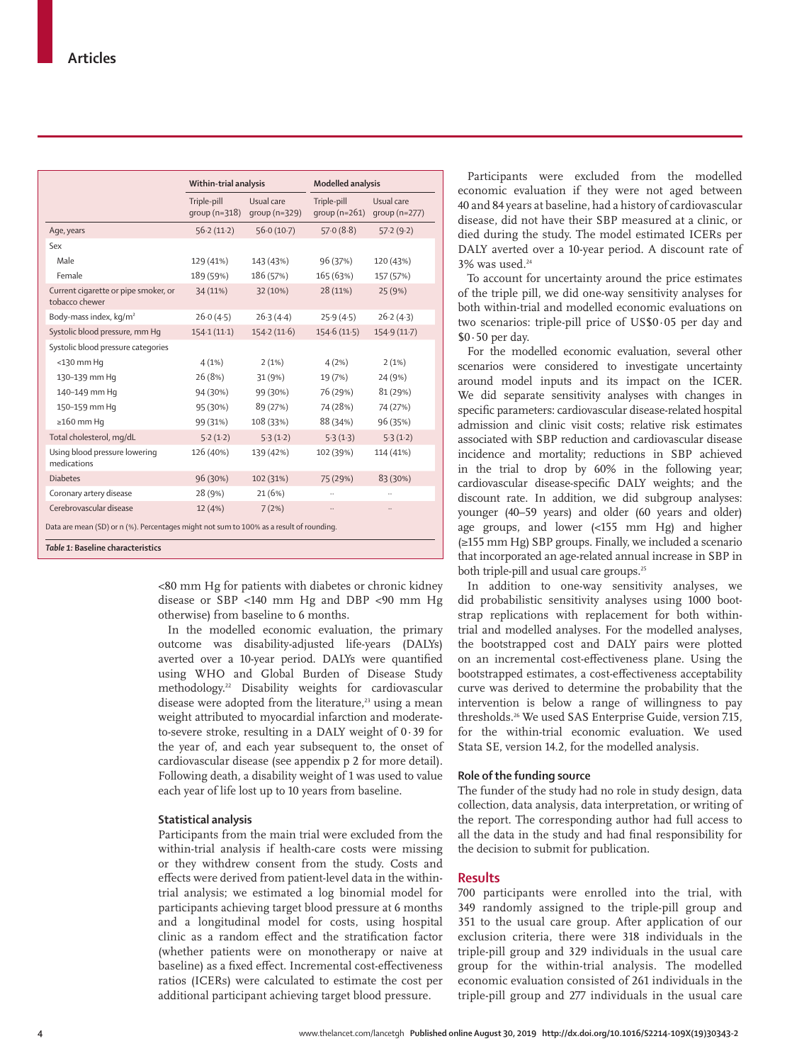|                                                                                                                              | Within-trial analysis          |                             | <b>Modelled analysis</b>      |                             |  |  |  |
|------------------------------------------------------------------------------------------------------------------------------|--------------------------------|-----------------------------|-------------------------------|-----------------------------|--|--|--|
|                                                                                                                              | Triple-pill<br>group $(n=318)$ | Usual care<br>group (n=329) | Triple-pill<br>$qroup(n=261)$ | Usual care<br>group (n=277) |  |  |  |
| Age, years                                                                                                                   | 56.2(11.2)                     | 56.0(10.7)                  | 57.0(8.8)                     | 57.2(9.2)                   |  |  |  |
| Sex                                                                                                                          |                                |                             |                               |                             |  |  |  |
| Male                                                                                                                         | 129 (41%)                      | 143 (43%)                   | 96 (37%)                      | 120 (43%)                   |  |  |  |
| Female                                                                                                                       | 189 (59%)                      | 186 (57%)                   | 165 (63%)                     | 157 (57%)                   |  |  |  |
| Current cigarette or pipe smoker, or<br>tobacco chewer                                                                       | 34 (11%)                       | 32 (10%)                    | 28 (11%)                      | 25 (9%)                     |  |  |  |
| Body-mass index, kg/m <sup>2</sup>                                                                                           | 26.0(4.5)                      | 26.3(4.4)                   | 25.9(4.5)                     | 26.2(4.3)                   |  |  |  |
| Systolic blood pressure, mm Hq                                                                                               | 154.1(11.1)                    | 154.2(11.6)                 | 154.6(11.5)                   | 154.9(11.7)                 |  |  |  |
| Systolic blood pressure categories                                                                                           |                                |                             |                               |                             |  |  |  |
| $<$ 130 mm Hq                                                                                                                | 4(1%)                          | 2(1%)                       | 4(2%)                         | 2(1%)                       |  |  |  |
| 130-139 mm Hq                                                                                                                | 26 (8%)                        | 31 (9%)                     | 19 (7%)                       | 24 (9%)                     |  |  |  |
| 140-149 mm Hq                                                                                                                | 94 (30%)                       | 99 (30%)                    | 76 (29%)                      | 81 (29%)                    |  |  |  |
| 150-159 mm Hq                                                                                                                | 95 (30%)                       | 89 (27%)                    | 74 (28%)                      | 74 (27%)                    |  |  |  |
| $\geq$ 160 mm Hq                                                                                                             | 99 (31%)                       | 108 (33%)                   | 88 (34%)                      | 96 (35%)                    |  |  |  |
| Total cholesterol, mg/dL                                                                                                     | 5.2(1.2)                       | 5.3(1.2)                    | 5.3(1.3)                      | 5.3(1.2)                    |  |  |  |
| Using blood pressure lowering<br>medications                                                                                 | 126 (40%)                      | 139 (42%)                   | 102 (39%)                     | 114 (41%)                   |  |  |  |
| <b>Diabetes</b>                                                                                                              | 96 (30%)                       | 102 (31%)                   | 75 (29%)                      | 83 (30%)                    |  |  |  |
| Coronary artery disease                                                                                                      | 28 (9%)                        | 21(6%)                      |                               |                             |  |  |  |
| Cerebrovascular disease                                                                                                      | 12 (4%)                        | 7(2%)                       |                               |                             |  |  |  |
| Data are mean (SD) or n (%). Percentages might not sum to 100% as a result of rounding.<br>Table 1: Baseline characteristics |                                |                             |                               |                             |  |  |  |

<80 mm Hg for patients with diabetes or chronic kidney disease or SBP <140 mm Hg and DBP <90 mm Hg otherwise) from baseline to 6 months.

In the modelled economic evaluation, the primary outcome was disability-adjusted life-years (DALYs) averted over a 10-year period. DALYs were quantified using WHO and Global Burden of Disease Study methodology.22 Disability weights for cardiovascular disease were adopted from the literature,<sup>23</sup> using a mean weight attributed to myocardial infarction and moderateto-severe stroke, resulting in a DALY weight of  $0.39$  for the year of, and each year subsequent to, the onset of cardiovascular disease (see appendix p 2 for more detail). Following death, a disability weight of 1 was used to value each year of life lost up to 10 years from baseline.

## **Statistical analysis**

Participants from the main trial were excluded from the within-trial analysis if health-care costs were missing or they withdrew consent from the study. Costs and effects were derived from patient-level data in the withintrial analysis; we estimated a log binomial model for participants achieving target blood pressure at 6 months and a longitudinal model for costs, using hospital clinic as a random effect and the stratification factor (whether patients were on monotherapy or naive at baseline) as a fixed effect. Incremental cost-effectiveness ratios (ICERs) were calculated to estimate the cost per additional participant achieving target blood pressure.

Participants were excluded from the modelled economic evaluation if they were not aged between 40 and 84 years at baseline, had a history of cardiovascular disease, did not have their SBP measured at a clinic, or died during the study. The model estimated ICERs per DALY averted over a 10-year period. A discount rate of 3% was used.<sup>24</sup>

To account for uncertainty around the price estimates of the triple pill, we did one-way sensitivity analyses for both within-trial and modelled economic evaluations on two scenarios: triple-pill price of US\$0·05 per day and  $$0.50$  per day.

For the modelled economic evaluation, several other scenarios were considered to investigate uncertainty around model inputs and its impact on the ICER. We did separate sensitivity analyses with changes in specific parameters: cardiovascular disease-related hospital admission and clinic visit costs; relative risk estimates associated with SBP reduction and cardiovascular disease incidence and mortality; reductions in SBP achieved in the trial to drop by 60% in the following year; cardiovascular disease-specific DALY weights; and the discount rate. In addition, we did subgroup analyses: younger (40–59 years) and older (60 years and older) age groups, and lower (<155 mm Hg) and higher (≥155 mm Hg) SBP groups. Finally, we included a scenario that incorporated an age-related annual increase in SBP in both triple-pill and usual care groups.<sup>25</sup>

In addition to one-way sensitivity analyses, we did probabilistic sensitivity analyses using 1000 bootstrap replications with replacement for both withintrial and modelled analyses. For the modelled analyses, the bootstrapped cost and DALY pairs were plotted on an incremental cost-effectiveness plane. Using the bootstrapped estimates, a cost-effectiveness acceptability curve was derived to determine the probability that the intervention is below a range of willingness to pay thresholds.26 We used SAS Enterprise Guide, version 7.15, for the within-trial economic evaluation. We used Stata SE, version 14.2, for the modelled analysis.

## **Role of the funding source**

The funder of the study had no role in study design, data collection, data analysis, data interpretation, or writing of the report. The corresponding author had full access to all the data in the study and had final responsibility for the decision to submit for publication.

## **Results**

700 participants were enrolled into the trial, with 349 randomly assigned to the triple-pill group and 351 to the usual care group. After application of our exclusion criteria, there were 318 individuals in the triple-pill group and 329 individuals in the usual care group for the within-trial analysis. The modelled economic evaluation consisted of 261 individuals in the triple-pill group and 277 individuals in the usual care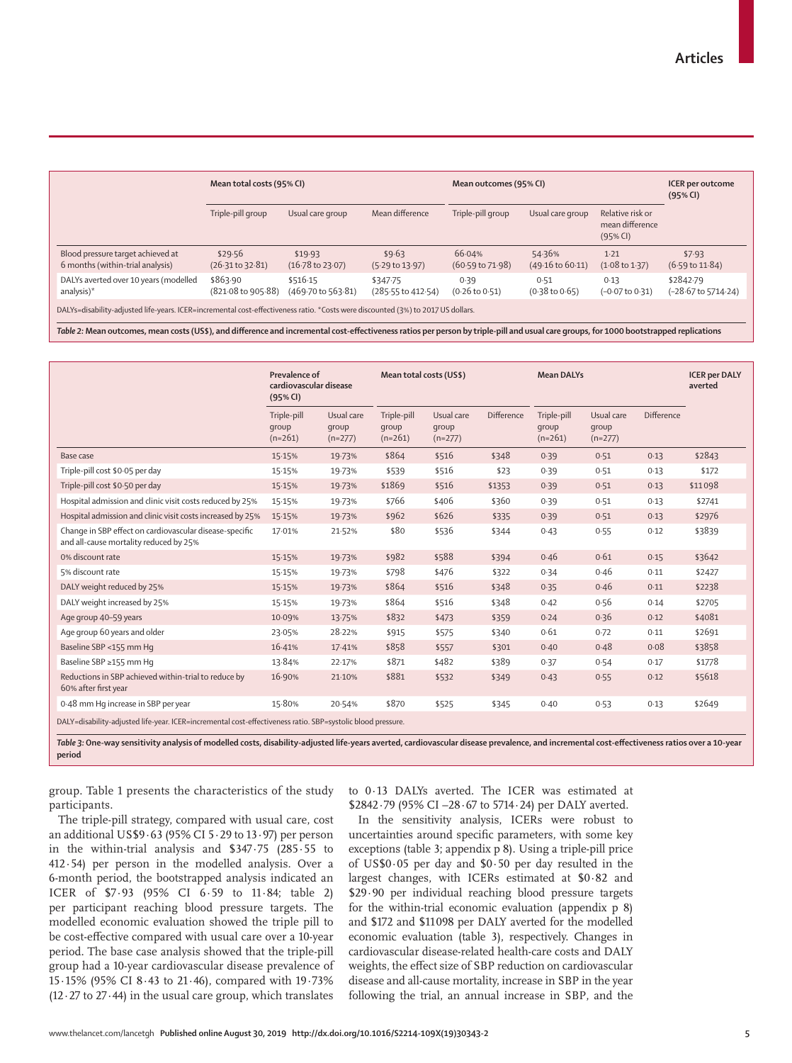|                                                                                                                                  | Mean total costs (95% CI)              |                                        |                                           | Mean outcomes (95% CI)                | <b>ICER</b> per outcome<br>(95% CI)   |                                                 |                                             |  |
|----------------------------------------------------------------------------------------------------------------------------------|----------------------------------------|----------------------------------------|-------------------------------------------|---------------------------------------|---------------------------------------|-------------------------------------------------|---------------------------------------------|--|
|                                                                                                                                  | Triple-pill group                      | Usual care group                       | Mean difference                           | Triple-pill group                     | Usual care group                      | Relative risk or<br>mean difference<br>(95% CI) |                                             |  |
| Blood pressure target achieved at<br>6 months (within-trial analysis)                                                            | \$29.56<br>$(26.31 \text{ to } 32.81)$ | \$19.93<br>$(16.78 \text{ to } 23.07)$ | \$9.63<br>$(5.29 \text{ to } 13.97)$      | 66.04%<br>$(60.59 \text{ to } 71.98)$ | 54.36%<br>$(49.16 \text{ to } 60.11)$ | $1-21$<br>$(1.08 \text{ to } 1.37)$             | \$7.93<br>$(6.59 \text{ to } 11.84)$        |  |
| DALYs averted over 10 years (modelled<br>analysis)*                                                                              | \$863.90<br>(821.08 to 905.88)         | \$516.15<br>(469.70 to 563.81)         | \$347.75<br>$(285.55 \text{ to } 412.54)$ | 0.39<br>$(0.26 \text{ to } 0.51)$     | 0.51<br>$(0.38 \text{ to } 0.65)$     | 0.13<br>$(-0.07 \text{ to } 0.31)$              | \$2842.79<br>$(-28.67 \text{ to } 5714.24)$ |  |
| DALYs=disability-adjusted life-years. ICER=incremental cost-effectiveness ratio. *Costs were discounted (3%) to 2017 US dollars. |                                        |                                        |                                           |                                       |                                       |                                                 |                                             |  |

*Table 2:* **Mean outcomes, mean costs (US\$), and difference and incremental cost-effectiveness ratios per person by triple-pill and usual care groups, for 1000 bootstrapped replications**

|                                                                                                             | Prevalence of<br>cardiovascular disease<br>(95% CI) |                                  | Mean total costs (US\$)           |                                  | <b>Mean DALYs</b> |                                   |                                  | <b>ICER per DALY</b><br>averted |         |
|-------------------------------------------------------------------------------------------------------------|-----------------------------------------------------|----------------------------------|-----------------------------------|----------------------------------|-------------------|-----------------------------------|----------------------------------|---------------------------------|---------|
|                                                                                                             | Triple-pill<br>qroup<br>$(n=261)$                   | Usual care<br>group<br>$(n=277)$ | Triple-pill<br>qroup<br>$(n=261)$ | Usual care<br>qroup<br>$(n=277)$ | Difference        | Triple-pill<br>qroup<br>$(n=261)$ | Usual care<br>group<br>$(n=277)$ | Difference                      |         |
| Base case                                                                                                   | 15.15%                                              | 19.73%                           | \$864                             | \$516                            | \$348             | 0.39                              | 0.51                             | 0.13                            | \$2843  |
| Triple-pill cost \$0.05 per day                                                                             | 15.15%                                              | 19.73%                           | \$539                             | \$516                            | \$23              | 0.39                              | 0.51                             | 0.13                            | \$172   |
| Triple-pill cost \$0.50 per day                                                                             | 15.15%                                              | 19.73%                           | \$1869                            | \$516                            | \$1353            | 0.39                              | 0.51                             | 0.13                            | \$11098 |
| Hospital admission and clinic visit costs reduced by 25%                                                    | 15.15%                                              | 19.73%                           | \$766                             | \$406                            | \$360             | 0.39                              | 0.51                             | 0.13                            | \$2741  |
| Hospital admission and clinic visit costs increased by 25%                                                  | 15.15%                                              | 19.73%                           | \$962                             | \$626                            | \$335             | 0.39                              | 0.51                             | 0.13                            | \$2976  |
| Change in SBP effect on cardiovascular disease-specific<br>and all-cause mortality reduced by 25%           | 17.01%                                              | 21.52%                           | \$80                              | \$536                            | \$344             | 0.43                              | 0.55                             | 0.12                            | \$3839  |
| 0% discount rate                                                                                            | 15.15%                                              | 19.73%                           | \$982                             | \$588                            | \$394             | 0.46                              | 0.61                             | 0.15                            | \$3642  |
| 5% discount rate                                                                                            | 15.15%                                              | 19.73%                           | \$798                             | \$476                            | \$322             | 0.34                              | 0.46                             | 0.11                            | \$2427  |
| DALY weight reduced by 25%                                                                                  | 15.15%                                              | 19.73%                           | \$864                             | \$516                            | \$348             | 0.35                              | 0.46                             | 0.11                            | \$2238  |
| DALY weight increased by 25%                                                                                | 15.15%                                              | 19.73%                           | \$864                             | \$516                            | \$348             | 0.42                              | 0.56                             | 0.14                            | \$2705  |
| Age group 40-59 years                                                                                       | 10.09%                                              | 13.75%                           | \$832                             | \$473                            | \$359             | 0.24                              | 0.36                             | 0.12                            | \$4081  |
| Age group 60 years and older                                                                                | 23.05%                                              | 28.22%                           | \$915                             | \$575                            | \$340             | 0.61                              | 0.72                             | 0.11                            | \$2691  |
| Baseline SBP <155 mm Hq                                                                                     | 16.41%                                              | 17.41%                           | \$858                             | \$557                            | \$301             | 0.40                              | 0.48                             | 0.08                            | \$3858  |
| Baseline SBP ≥155 mm Hq                                                                                     | 13.84%                                              | 22.17%                           | \$871                             | \$482                            | \$389             | 0.37                              | 0.54                             | 0.17                            | \$1778  |
| Reductions in SBP achieved within-trial to reduce by<br>60% after first year                                | 16.90%                                              | 21.10%                           | \$881                             | \$532                            | \$349             | 0.43                              | 0.55                             | 0.12                            | \$5618  |
| 0.48 mm Hq increase in SBP per year                                                                         | 15.80%                                              | 20.54%                           | \$870                             | \$525                            | \$345             | 0.40                              | 0.53                             | 0.13                            | \$2649  |
| DALY=disability-adjusted life-year. ICER=incremental cost-effectiveness ratio. SBP=systolic blood pressure. |                                                     |                                  |                                   |                                  |                   |                                   |                                  |                                 |         |

*Table 3:* **One-way sensitivity analysis of modelled costs, disability-adjusted life-years averted, cardiovascular disease prevalence, and incremental cost-effectiveness ratios over a 10-year period**

group. Table 1 presents the characteristics of the study participants.

to 0·13 DALYs averted. The ICER was estimated at \$2842·79 (95% CI –28·67 to 5714·24) per DALY averted.

The triple-pill strategy, compared with usual care, cost an additional US\$9·63 (95% CI 5·29 to 13·97) per person in the within-trial analysis and \$347·75 (285·55 to 412·54) per person in the modelled analysis. Over a 6-month period, the bootstrapped analysis indicated an ICER of \$7·93 (95% CI 6·59 to 11·84; table 2) per participant reaching blood pressure targets. The modelled economic evaluation showed the triple pill to be cost-effective compared with usual care over a 10-year period. The base case analysis showed that the triple-pill group had a 10-year cardiovascular disease prevalence of 15·15% (95% CI 8·43 to 21·46), compared with 19·73%  $(12.27$  to  $27.44$ ) in the usual care group, which translates

In the sensitivity analysis, ICERs were robust to uncertainties around specific parameters, with some key exceptions (table 3; appendix p 8). Using a triple-pill price of US\$0·05 per day and \$0·50 per day resulted in the largest changes, with ICERs estimated at \$0·82 and \$29·90 per individual reaching blood pressure targets for the within-trial economic evaluation (appendix p 8) and \$172 and \$11098 per DALY averted for the modelled economic evaluation (table 3), respectively. Changes in cardiovascular disease-related health-care costs and DALY weights, the effect size of SBP reduction on cardiovascular disease and all-cause mortality, increase in SBP in the year following the trial, an annual increase in SBP, and the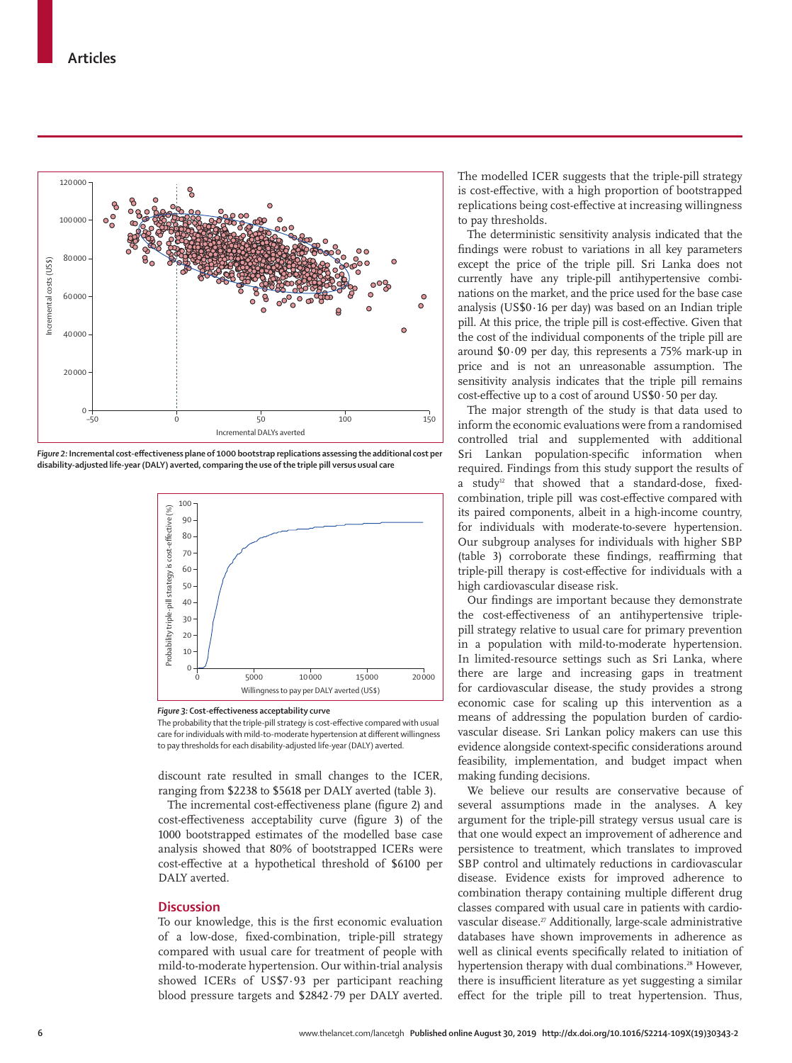

*Figure 2:* **Incremental cost-effectiveness plane of 1000 bootstrap replications assessing the additional cost per disability-adjusted life-year (DALY) averted, comparing the use of the triple pill versus usual care**



*Figure 3:* **Cost-effectiveness acceptability curve**

The probability that the triple-pill strategy is cost-effective compared with usual care for individuals with mild-to-moderate hypertension at different willingness to pay thresholds for each disability-adjusted life-year (DALY) averted.

discount rate resulted in small changes to the ICER, ranging from \$2238 to \$5618 per DALY averted (table 3).

The incremental cost-effectiveness plane (figure 2) and cost-effectiveness acceptability curve (figure 3) of the 1000 bootstrapped estimates of the modelled base case analysis showed that 80% of bootstrapped ICERs were cost-effective at a hypothetical threshold of \$6100 per DALY averted.

## **Discussion**

To our knowledge, this is the first economic evaluation of a low-dose, fixed-combination, triple-pill strategy compared with usual care for treatment of people with mild-to-moderate hypertension. Our within-trial analysis showed ICERs of US\$7·93 per participant reaching blood pressure targets and \$2842·79 per DALY averted. The modelled ICER suggests that the triple-pill strategy is cost-effective, with a high proportion of bootstrapped replications being cost-effective at increasing willingness to pay thresholds.

The deterministic sensitivity analysis indicated that the findings were robust to variations in all key parameters except the price of the triple pill. Sri Lanka does not currently have any triple-pill antihypertensive combinations on the market, and the price used for the base case analysis (US\$0·16 per day) was based on an Indian triple pill. At this price, the triple pill is cost-effective. Given that the cost of the individual components of the triple pill are around \$0·09 per day, this represents a 75% mark-up in price and is not an unreasonable assumption. The sensitivity analysis indicates that the triple pill remains cost-effective up to a cost of around US\$0·50 per day.

The major strength of the study is that data used to inform the economic evaluations were from a randomised controlled trial and supplemented with additional Sri Lankan population-specific information when required. Findings from this study support the results of a study<sup>12</sup> that showed that a standard-dose, fixedcombination, triple pill was cost-effective compared with its paired components, albeit in a high-income country, for individuals with moderate-to-severe hypertension. Our subgroup analyses for individuals with higher SBP (table 3) corroborate these findings, reaffirming that triple-pill therapy is cost-effective for individuals with a high cardiovascular disease risk.

Our findings are important because they demonstrate the cost-effectiveness of an antihypertensive triplepill strategy relative to usual care for primary prevention in a population with mild-to-moderate hypertension. In limited-resource settings such as Sri Lanka, where there are large and increasing gaps in treatment for cardiovascular disease, the study provides a strong economic case for scaling up this intervention as a means of addressing the population burden of cardiovascular disease. Sri Lankan policy makers can use this evidence alongside context-specific considerations around feasibility, implementation, and budget impact when making funding decisions.

We believe our results are conservative because of several assumptions made in the analyses. A key argument for the triple-pill strategy versus usual care is that one would expect an improvement of adherence and persistence to treatment, which translates to improved SBP control and ultimately reductions in cardiovascular disease. Evidence exists for improved adherence to combination therapy containing multiple different drug classes compared with usual care in patients with cardiovascular disease.<sup>27</sup> Additionally, large-scale administrative databases have shown improvements in adherence as well as clinical events specifically related to initiation of hypertension therapy with dual combinations.<sup>28</sup> However, there is insufficient literature as yet suggesting a similar effect for the triple pill to treat hypertension. Thus,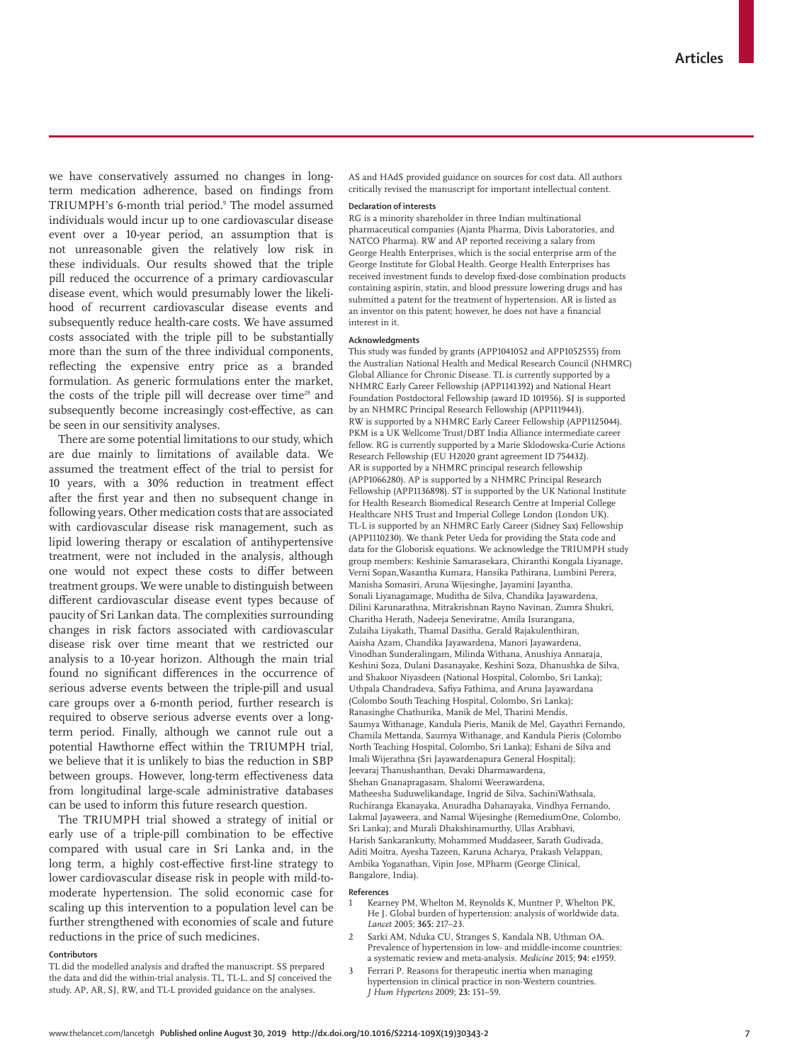we have conservatively assumed no changes in longterm medication adherence, based on findings from TRIUMPH's 6-month trial period.9 The model assumed individuals would incur up to one cardiovascular disease event over a 10-year period, an assumption that is not unreasonable given the relatively low risk in these individuals. Our results showed that the triple pill reduced the occurrence of a primary cardiovascular disease event, which would presumably lower the likelihood of recurrent cardiovascular disease events and subsequently reduce health-care costs. We have assumed costs associated with the triple pill to be substantially more than the sum of the three individual components, reflecting the expensive entry price as a branded formulation. As generic formulations enter the market, the costs of the triple pill will decrease over time<sup>29</sup> and subsequently become increasingly cost-effective, as can be seen in our sensitivity analyses.

There are some potential limitations to our study, which are due mainly to limitations of available data. We assumed the treatment effect of the trial to persist for 10 years, with a 30% reduction in treatment effect after the first year and then no subsequent change in following years. Other medication costs that are associated with cardiovascular disease risk management, such as lipid lowering therapy or escalation of antihypertensive treatment, were not included in the analysis, although one would not expect these costs to differ between treatment groups. We were unable to distinguish between different cardiovascular disease event types because of paucity of Sri Lankan data. The complexities surrounding changes in risk factors associated with cardiovascular disease risk over time meant that we restricted our analysis to a 10-year horizon. Although the main trial found no significant differences in the occurrence of serious adverse events between the triple-pill and usual care groups over a 6-month period, further research is required to observe serious adverse events over a longterm period. Finally, although we cannot rule out a potential Hawthorne effect within the TRIUMPH trial, we believe that it is unlikely to bias the reduction in SBP between groups. However, long-term effectiveness data from longitudinal large-scale administrative databases can be used to inform this future research question.

The TRIUMPH trial showed a strategy of initial or early use of a triple-pill combination to be effective compared with usual care in Sri Lanka and, in the long term, a highly cost-effective first-line strategy to lower cardiovascular disease risk in people with mild-tomoderate hypertension. The solid economic case for scaling up this intervention to a population level can be further strengthened with economies of scale and future reductions in the price of such medicines.

#### **Contributors**

AS and HAdS provided guidance on sources for cost data. All authors critically revised the manuscript for important intellectual content.

## **Declaration of interests**

RG is a minority shareholder in three Indian multinational pharmaceutical companies (Ajanta Pharma, Divis Laboratories, and NATCO Pharma). RW and AP reported receiving a salary from George Health Enterprises, which is the social enterprise arm of the George Institute for Global Health. George Health Enterprises has received investment funds to develop fixed-dose combination products containing aspirin, statin, and blood pressure lowering drugs and has submitted a patent for the treatment of hypertension. AR is listed as an inventor on this patent; however, he does not have a financial interest in it.

### **Acknowledgments**

This study was funded by grants (APP1041052 and APP1052555) from the Australian National Health and Medical Research Council (NHMRC) Global Alliance for Chronic Disease. TL is currently supported by a NHMRC Early Career Fellowship (APP1141392) and National Heart Foundation Postdoctoral Fellowship (award ID 101956). SJ is supported by an NHMRC Principal Research Fellowship (APP1119443). RW is supported by a NHMRC Early Career Fellowship (APP1125044). PKM is a UK Wellcome Trust/DBT India Alliance intermediate career fellow. RG is currently supported by a Marie Sklodowska-Curie Actions Research Fellowship (EU H2020 grant agreement ID 754432). AR is supported by a NHMRC principal research fellowship (APP1066280). AP is supported by a NHMRC Principal Research Fellowship (APP1136898). ST is supported by the UK National Institute for Health Research Biomedical Research Centre at Imperial College Healthcare NHS Trust and Imperial College London (London UK). TL-L is supported by an NHMRC Early Career (Sidney Sax) Fellowship (APP1110230). We thank Peter Ueda for providing the Stata code and data for the Globorisk equations. We acknowledge the TRIUMPH study group members: Keshinie Samarasekara, Chiranthi Kongala Liyanage, Verni Sopan,Wasantha Kumara, Hansika Pathirana, Lumbini Perera, Manisha Somasiri, Aruna Wijesinghe, Jayamini Jayantha, Sonali Liyanagamage, Muditha de Silva, Chandika Jayawardena, Dilini Karunarathna, Mitrakrishnan Rayno Navinan, Zumra Shukri, Charitha Herath, Nadeeja Seneviratne, Amila Isurangana, Zulaiha Liyakath, Thamal Dasitha, Gerald Rajakulenthiran, Aaisha Azam, Chandika Jayawardena, Manori Jayawardena, Vinodhan Sunderalingam, Milinda Withana, Anushiya Annaraja, Keshini Soza, Dulani Dasanayake, Keshini Soza, Dhanushka de Silva, and Shakoor Niyasdeen (National Hospital, Colombo, Sri Lanka); Uthpala Chandradeva, Safiya Fathima, and Aruna Jayawardana (Colombo South Teaching Hospital, Colombo, Sri Lanka); Ranasinghe Chathurika, Manik de Mel, Tharini Mendis, Saumya Withanage, Kandula Pieris, Manik de Mel, Gayathri Fernando, Chamila Mettanda, Saumya Withanage, and Kandula Pieris (Colombo North Teaching Hospital, Colombo, Sri Lanka); Eshani de Silva and Imali Wijerathna (Sri Jayawardenapura General Hospital); Jeevaraj Thanushanthan, Devaki Dharmawardena, Shehan Gnanapragasam, Shalomi Weerawardena, Matheesha Suduwelikandage, Ingrid de Silva, SachiniWathsala, Ruchiranga Ekanayaka, Anuradha Dahanayaka, Vindhya Fernando, Lakmal Jayaweera, and Namal Wijesinghe (RemediumOne, Colombo, Sri Lanka); and Murali Dhakshinamurthy, Ullas Arabhavi, Harish Sankarankutty, Mohammed Muddaseer, Sarath Gudivada, Aditi Moitra, Ayesha Tazeen, Karuna Acharya, Prakash Velappan, Ambika Yoganathan, Vipin Jose, MPharm (George Clinical, Bangalore, India).

#### **References**

- Kearney PM, Whelton M, Reynolds K, Muntner P, Whelton PK, He J. Global burden of hypertension: analysis of worldwide data. *Lancet* 2005; **365:** 217–23.
- 2 Sarki AM, Nduka CU, Stranges S, Kandala NB, Uthman OA. Prevalence of hypertension in low- and middle-income countries: a systematic review and meta-analysis. *Medicine* 2015; **94:** e1959.
	- Ferrari P. Reasons for therapeutic inertia when managing hypertension in clinical practice in non-Western countries. *J Hum Hypertens* 2009; **23:** 151–59.

TL did the modelled analysis and drafted the manuscript. SS prepared the data and did the within-trial analysis. TL, TL-L, and SJ conceived the study. AP, AR, SJ, RW, and TL-L provided guidance on the analyses.